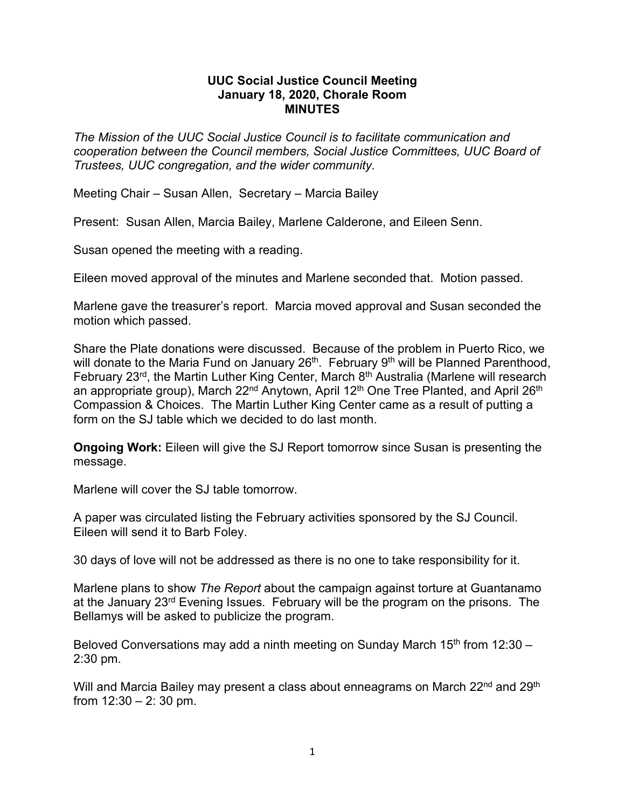## **UUC Social Justice Council Meeting January 18, 2020, Chorale Room MINUTES**

*The Mission of the UUC Social Justice Council is to facilitate communication and cooperation between the Council members, Social Justice Committees, UUC Board of Trustees, UUC congregation, and the wider community.*

Meeting Chair – Susan Allen, Secretary – Marcia Bailey

Present: Susan Allen, Marcia Bailey, Marlene Calderone, and Eileen Senn.

Susan opened the meeting with a reading.

Eileen moved approval of the minutes and Marlene seconded that. Motion passed.

Marlene gave the treasurer's report. Marcia moved approval and Susan seconded the motion which passed.

Share the Plate donations were discussed. Because of the problem in Puerto Rico, we will donate to the Maria Fund on January  $26<sup>th</sup>$ . February  $9<sup>th</sup>$  will be Planned Parenthood, February  $23^{rd}$ , the Martin Luther King Center, March  $8^{th}$  Australia (Marlene will research an appropriate group), March 22<sup>nd</sup> Anytown, April 12<sup>th</sup> One Tree Planted, and April 26<sup>th</sup> Compassion & Choices. The Martin Luther King Center came as a result of putting a form on the SJ table which we decided to do last month.

**Ongoing Work:** Eileen will give the SJ Report tomorrow since Susan is presenting the message.

Marlene will cover the SJ table tomorrow.

A paper was circulated listing the February activities sponsored by the SJ Council. Eileen will send it to Barb Foley.

30 days of love will not be addressed as there is no one to take responsibility for it.

Marlene plans to show *The Report* about the campaign against torture at Guantanamo at the January 23rd Evening Issues. February will be the program on the prisons. The Bellamys will be asked to publicize the program.

Beloved Conversations may add a ninth meeting on Sunday March 15<sup>th</sup> from 12:30  $-$ 2:30 pm.

Will and Marcia Bailey may present a class about enneagrams on March 22<sup>nd</sup> and 29<sup>th</sup> from  $12:30 - 2:30$  pm.